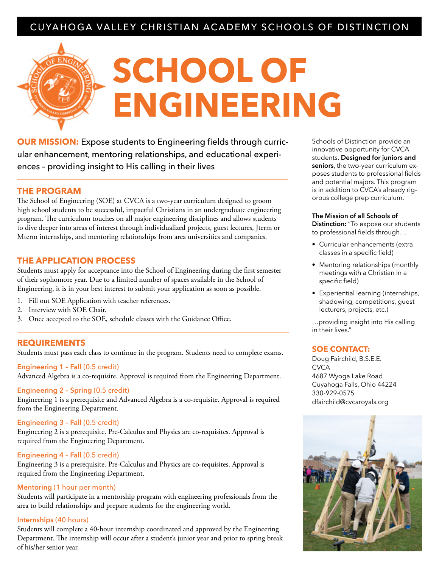### CUYAHOGA VALLEY CHRISTIAN ACADEMY SCHOOLS OF DISTINCTION

# **SCHOOL OF ENGINEERING**

**OUR MISSION:** Expose students to Engineering fields through curricular enhancement, mentoring relationships, and educational experiences – providing insight to His calling in their lives

#### **THE PROGRAM**

The School of Engineering (SOE) at CVCA is a two-year curriculum designed to groom high school students to be successful, impactful Christians in an undergraduate engineering program. The curriculum touches on all major engineering disciplines and allows students to dive deeper into areas of interest through individualized projects, guest lectures, Jterm or Mterm internships, and mentoring relationships from area universities and companies.

#### **THE APPLICATION PROCESS**

Students must apply for acceptance into the School of Engineering during the first semester of their sophomore year. Due to a limited number of spaces available in the School of Engineering, it is in your best interest to submit your application as soon as possible.

- 1. Fill out SOE Application with teacher references.
- 2. Interview with SOE Chair.
- 3. Once accepted to the SOE, schedule classes with the Guidance Office.

#### **REQUIREMENTS**

Students must pass each class to continue in the program. Students need to complete exams.

#### **Engineering 1 – Fall** (0.5 credit)

Advanced Algebra is a co-requisite. Approval is required from the Engineering Department.

#### **Engineering 2 – Spring** (0.5 credit)

Engineering 1 is a prerequisite and Advanced Algebra is a co-requisite. Approval is required from the Engineering Department.

#### **Engineering 3 – Fall** (0.5 credit)

Engineering 2 is a prerequisite. Pre-Calculus and Physics are co-requisites. Approval is required from the Engineering Department.

#### **Engineering 4 – Fall** (0.5 credit)

Engineering 3 is a prerequisite. Pre-Calculus and Physics are co-requisites. Approval is required from the Engineering Department.

#### **Mentoring** (1 hour per month)

Students will participate in a mentorship program with engineering professionals from the area to build relationships and prepare students for the engineering world.

#### **Internships** (40 hours)

Students will complete a 40-hour internship coordinated and approved by the Engineering Department. The internship will occur after a student's junior year and prior to spring break of his/her senior year.

Schools of Distinction provide an innovative opportunity for CVCA students. **Designed for juniors and seniors**, the two-year curriculum exposes students to professional fields and potential majors. This program is in addition to CVCA's already rigorous college prep curriculum.

#### **The Mission of all Schools of**

**Distinction:** "To expose our students to professional fields through…

- Curricular enhancements (extra classes in a specific field)
- Mentoring relationships (monthly meetings with a Christian in a specific field)
- Experiential learning (internships, shadowing, competitions, guest lecturers, projects, etc.)

…providing insight into His calling in their lives."

#### **SOE CONTACT:**

Doug Fairchild, B.S.E.E. **CVCA** 4687 Wyoga Lake Road Cuyahoga Falls, Ohio 44224 330-929-0575 dfairchild@cvcaroyals.org